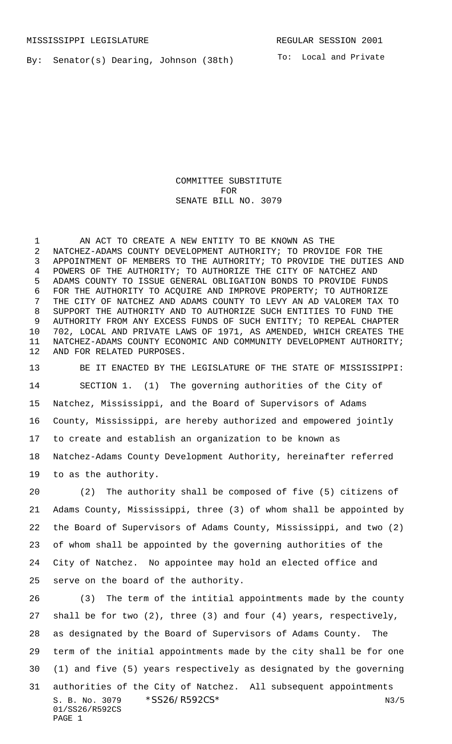By: Senator(s) Dearing, Johnson (38th)

To: Local and Private

COMMITTEE SUBSTITUTE FOR SENATE BILL NO. 3079

1 AN ACT TO CREATE A NEW ENTITY TO BE KNOWN AS THE NATCHEZ-ADAMS COUNTY DEVELOPMENT AUTHORITY; TO PROVIDE FOR THE APPOINTMENT OF MEMBERS TO THE AUTHORITY; TO PROVIDE THE DUTIES AND POWERS OF THE AUTHORITY; TO AUTHORIZE THE CITY OF NATCHEZ AND ADAMS COUNTY TO ISSUE GENERAL OBLIGATION BONDS TO PROVIDE FUNDS FOR THE AUTHORITY TO ACQUIRE AND IMPROVE PROPERTY; TO AUTHORIZE THE CITY OF NATCHEZ AND ADAMS COUNTY TO LEVY AN AD VALOREM TAX TO SUPPORT THE AUTHORITY AND TO AUTHORIZE SUCH ENTITIES TO FUND THE AUTHORITY FROM ANY EXCESS FUNDS OF SUCH ENTITY; TO REPEAL CHAPTER 702, LOCAL AND PRIVATE LAWS OF 1971, AS AMENDED, WHICH CREATES THE NATCHEZ-ADAMS COUNTY ECONOMIC AND COMMUNITY DEVELOPMENT AUTHORITY; AND FOR RELATED PURPOSES.

 BE IT ENACTED BY THE LEGISLATURE OF THE STATE OF MISSISSIPPI: SECTION 1. (1) The governing authorities of the City of Natchez, Mississippi, and the Board of Supervisors of Adams County, Mississippi, are hereby authorized and empowered jointly to create and establish an organization to be known as Natchez-Adams County Development Authority, hereinafter referred to as the authority.

 (2) The authority shall be composed of five (5) citizens of Adams County, Mississippi, three (3) of whom shall be appointed by the Board of Supervisors of Adams County, Mississippi, and two (2) of whom shall be appointed by the governing authorities of the City of Natchez. No appointee may hold an elected office and serve on the board of the authority.

S. B. No. 3079 \* SS26/R592CS\* N3/5 01/SS26/R592CS PAGE 1 (3) The term of the intitial appointments made by the county shall be for two (2), three (3) and four (4) years, respectively, as designated by the Board of Supervisors of Adams County. The term of the initial appointments made by the city shall be for one (1) and five (5) years respectively as designated by the governing authorities of the City of Natchez. All subsequent appointments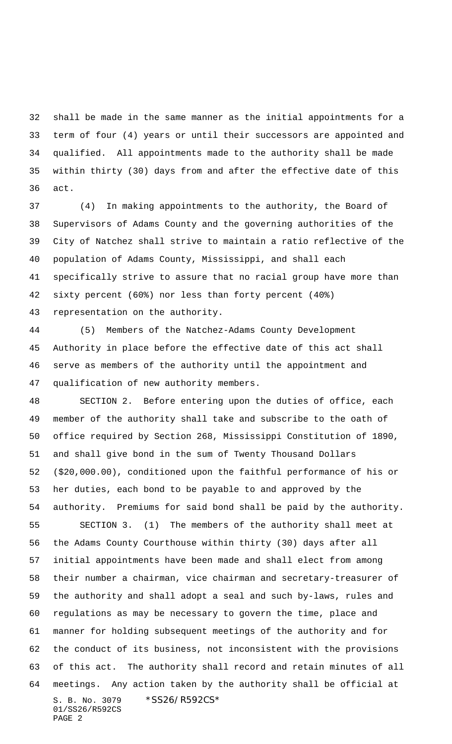shall be made in the same manner as the initial appointments for a term of four (4) years or until their successors are appointed and qualified. All appointments made to the authority shall be made within thirty (30) days from and after the effective date of this act.

 (4) In making appointments to the authority, the Board of Supervisors of Adams County and the governing authorities of the City of Natchez shall strive to maintain a ratio reflective of the population of Adams County, Mississippi, and shall each specifically strive to assure that no racial group have more than sixty percent (60%) nor less than forty percent (40%) representation on the authority.

 (5) Members of the Natchez-Adams County Development Authority in place before the effective date of this act shall serve as members of the authority until the appointment and qualification of new authority members.

S. B. No. 3079 \* SS26/R592CS\* 01/SS26/R592CS PAGE 2 SECTION 2. Before entering upon the duties of office, each member of the authority shall take and subscribe to the oath of office required by Section 268, Mississippi Constitution of 1890, and shall give bond in the sum of Twenty Thousand Dollars (\$20,000.00), conditioned upon the faithful performance of his or her duties, each bond to be payable to and approved by the authority. Premiums for said bond shall be paid by the authority. SECTION 3. (1) The members of the authority shall meet at the Adams County Courthouse within thirty (30) days after all initial appointments have been made and shall elect from among their number a chairman, vice chairman and secretary-treasurer of the authority and shall adopt a seal and such by-laws, rules and regulations as may be necessary to govern the time, place and manner for holding subsequent meetings of the authority and for the conduct of its business, not inconsistent with the provisions of this act. The authority shall record and retain minutes of all meetings. Any action taken by the authority shall be official at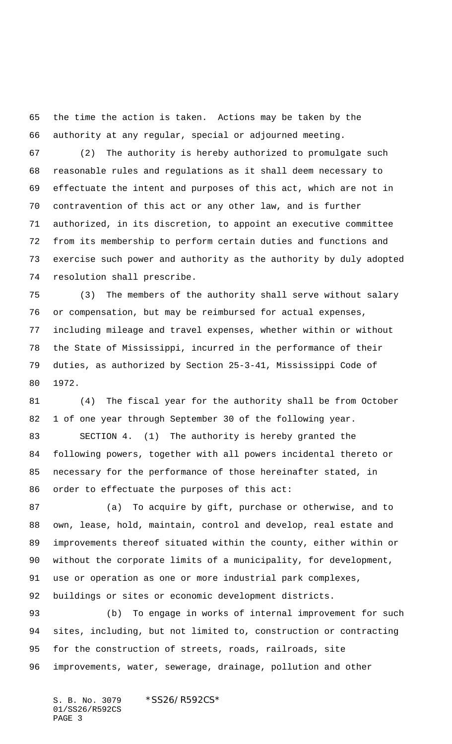the time the action is taken. Actions may be taken by the authority at any regular, special or adjourned meeting.

 (2) The authority is hereby authorized to promulgate such reasonable rules and regulations as it shall deem necessary to effectuate the intent and purposes of this act, which are not in contravention of this act or any other law, and is further authorized, in its discretion, to appoint an executive committee from its membership to perform certain duties and functions and exercise such power and authority as the authority by duly adopted resolution shall prescribe.

 (3) The members of the authority shall serve without salary or compensation, but may be reimbursed for actual expenses, 77 including mileage and travel expenses, whether within or without the State of Mississippi, incurred in the performance of their duties, as authorized by Section 25-3-41, Mississippi Code of 1972.

 (4) The fiscal year for the authority shall be from October 1 of one year through September 30 of the following year. SECTION 4. (1) The authority is hereby granted the following powers, together with all powers incidental thereto or necessary for the performance of those hereinafter stated, in order to effectuate the purposes of this act:

 (a) To acquire by gift, purchase or otherwise, and to own, lease, hold, maintain, control and develop, real estate and improvements thereof situated within the county, either within or without the corporate limits of a municipality, for development, use or operation as one or more industrial park complexes, buildings or sites or economic development districts.

 (b) To engage in works of internal improvement for such sites, including, but not limited to, construction or contracting for the construction of streets, roads, railroads, site improvements, water, sewerage, drainage, pollution and other

S. B. No. 3079 \*SS26/R592CS\* 01/SS26/R592CS PAGE 3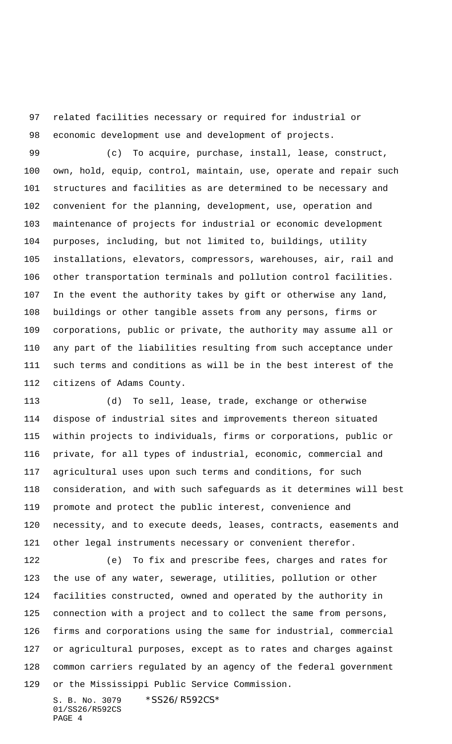related facilities necessary or required for industrial or economic development use and development of projects.

 (c) To acquire, purchase, install, lease, construct, own, hold, equip, control, maintain, use, operate and repair such structures and facilities as are determined to be necessary and convenient for the planning, development, use, operation and maintenance of projects for industrial or economic development purposes, including, but not limited to, buildings, utility installations, elevators, compressors, warehouses, air, rail and other transportation terminals and pollution control facilities. In the event the authority takes by gift or otherwise any land, buildings or other tangible assets from any persons, firms or corporations, public or private, the authority may assume all or any part of the liabilities resulting from such acceptance under such terms and conditions as will be in the best interest of the citizens of Adams County.

 (d) To sell, lease, trade, exchange or otherwise dispose of industrial sites and improvements thereon situated within projects to individuals, firms or corporations, public or private, for all types of industrial, economic, commercial and agricultural uses upon such terms and conditions, for such consideration, and with such safeguards as it determines will best promote and protect the public interest, convenience and necessity, and to execute deeds, leases, contracts, easements and other legal instruments necessary or convenient therefor.

 (e) To fix and prescribe fees, charges and rates for the use of any water, sewerage, utilities, pollution or other facilities constructed, owned and operated by the authority in connection with a project and to collect the same from persons, firms and corporations using the same for industrial, commercial or agricultural purposes, except as to rates and charges against common carriers regulated by an agency of the federal government or the Mississippi Public Service Commission.

S. B. No. 3079 \* SS26/R592CS\* 01/SS26/R592CS PAGE 4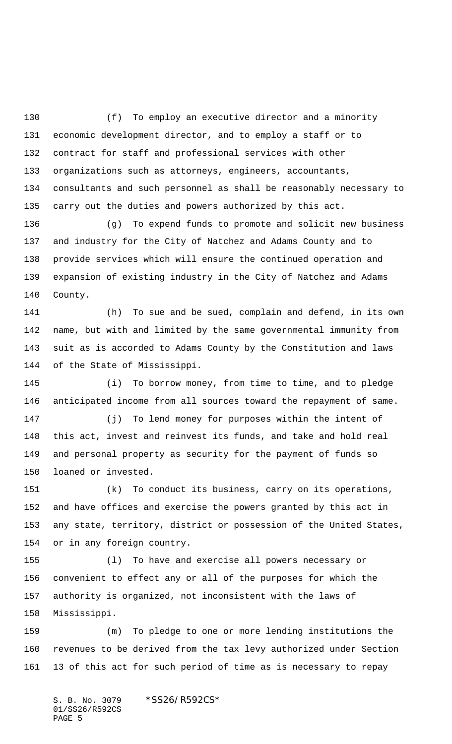(f) To employ an executive director and a minority economic development director, and to employ a staff or to contract for staff and professional services with other organizations such as attorneys, engineers, accountants, consultants and such personnel as shall be reasonably necessary to carry out the duties and powers authorized by this act.

 (g) To expend funds to promote and solicit new business and industry for the City of Natchez and Adams County and to provide services which will ensure the continued operation and expansion of existing industry in the City of Natchez and Adams County.

 (h) To sue and be sued, complain and defend, in its own name, but with and limited by the same governmental immunity from suit as is accorded to Adams County by the Constitution and laws of the State of Mississippi.

 (i) To borrow money, from time to time, and to pledge anticipated income from all sources toward the repayment of same.

 (j) To lend money for purposes within the intent of this act, invest and reinvest its funds, and take and hold real and personal property as security for the payment of funds so loaned or invested.

 (k) To conduct its business, carry on its operations, and have offices and exercise the powers granted by this act in any state, territory, district or possession of the United States, or in any foreign country.

 (l) To have and exercise all powers necessary or convenient to effect any or all of the purposes for which the authority is organized, not inconsistent with the laws of Mississippi.

 (m) To pledge to one or more lending institutions the revenues to be derived from the tax levy authorized under Section 13 of this act for such period of time as is necessary to repay

S. B. No. 3079 \*SS26/R592CS\* 01/SS26/R592CS PAGE 5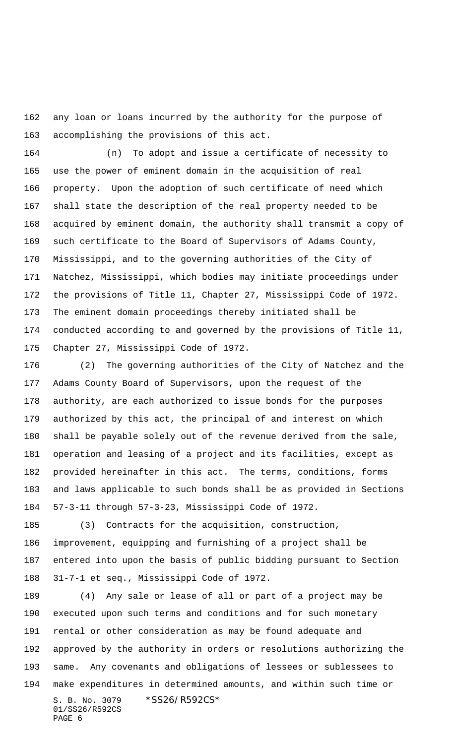any loan or loans incurred by the authority for the purpose of accomplishing the provisions of this act.

 (n) To adopt and issue a certificate of necessity to use the power of eminent domain in the acquisition of real property. Upon the adoption of such certificate of need which shall state the description of the real property needed to be acquired by eminent domain, the authority shall transmit a copy of such certificate to the Board of Supervisors of Adams County, Mississippi, and to the governing authorities of the City of Natchez, Mississippi, which bodies may initiate proceedings under the provisions of Title 11, Chapter 27, Mississippi Code of 1972. The eminent domain proceedings thereby initiated shall be conducted according to and governed by the provisions of Title 11, Chapter 27, Mississippi Code of 1972.

 (2) The governing authorities of the City of Natchez and the Adams County Board of Supervisors, upon the request of the authority, are each authorized to issue bonds for the purposes authorized by this act, the principal of and interest on which shall be payable solely out of the revenue derived from the sale, operation and leasing of a project and its facilities, except as provided hereinafter in this act. The terms, conditions, forms and laws applicable to such bonds shall be as provided in Sections 57-3-11 through 57-3-23, Mississippi Code of 1972.

 (3) Contracts for the acquisition, construction, improvement, equipping and furnishing of a project shall be entered into upon the basis of public bidding pursuant to Section 31-7-1 et seq., Mississippi Code of 1972.

S. B. No. 3079 \* SS26/R592CS\* 01/SS26/R592CS (4) Any sale or lease of all or part of a project may be executed upon such terms and conditions and for such monetary rental or other consideration as may be found adequate and approved by the authority in orders or resolutions authorizing the same. Any covenants and obligations of lessees or sublessees to make expenditures in determined amounts, and within such time or

PAGE 6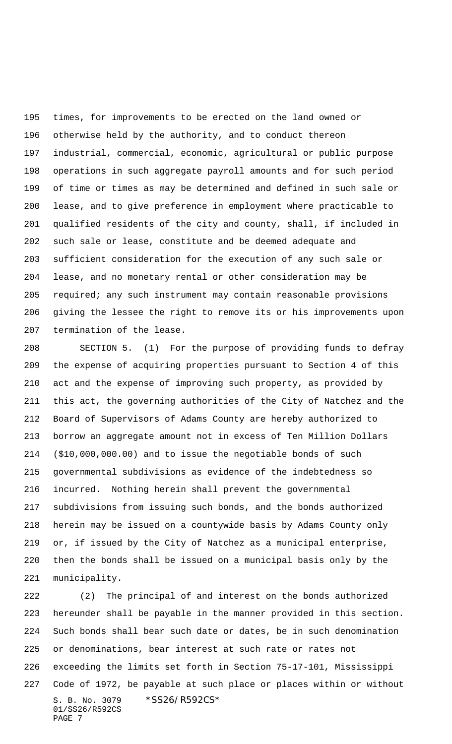times, for improvements to be erected on the land owned or otherwise held by the authority, and to conduct thereon industrial, commercial, economic, agricultural or public purpose operations in such aggregate payroll amounts and for such period of time or times as may be determined and defined in such sale or lease, and to give preference in employment where practicable to qualified residents of the city and county, shall, if included in such sale or lease, constitute and be deemed adequate and sufficient consideration for the execution of any such sale or lease, and no monetary rental or other consideration may be required; any such instrument may contain reasonable provisions giving the lessee the right to remove its or his improvements upon termination of the lease.

 SECTION 5. (1) For the purpose of providing funds to defray the expense of acquiring properties pursuant to Section 4 of this act and the expense of improving such property, as provided by this act, the governing authorities of the City of Natchez and the Board of Supervisors of Adams County are hereby authorized to borrow an aggregate amount not in excess of Ten Million Dollars (\$10,000,000.00) and to issue the negotiable bonds of such governmental subdivisions as evidence of the indebtedness so incurred. Nothing herein shall prevent the governmental subdivisions from issuing such bonds, and the bonds authorized herein may be issued on a countywide basis by Adams County only or, if issued by the City of Natchez as a municipal enterprise, then the bonds shall be issued on a municipal basis only by the municipality.

S. B. No. 3079 \*SS26/R592CS\* 01/SS26/R592CS PAGE 7 (2) The principal of and interest on the bonds authorized hereunder shall be payable in the manner provided in this section. Such bonds shall bear such date or dates, be in such denomination or denominations, bear interest at such rate or rates not exceeding the limits set forth in Section 75-17-101, Mississippi Code of 1972, be payable at such place or places within or without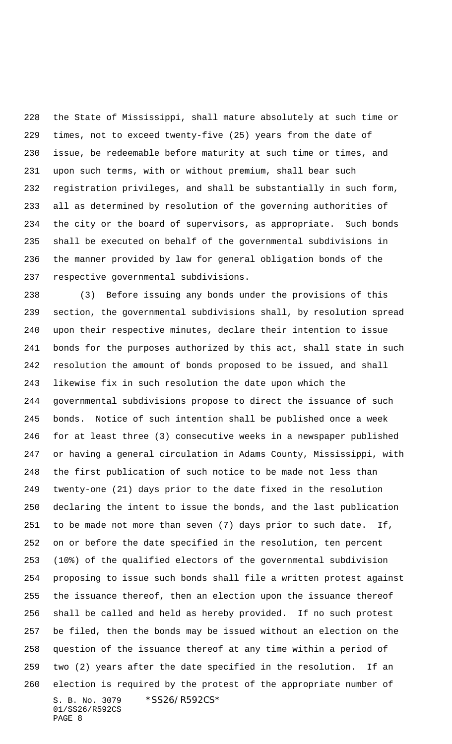the State of Mississippi, shall mature absolutely at such time or times, not to exceed twenty-five (25) years from the date of issue, be redeemable before maturity at such time or times, and upon such terms, with or without premium, shall bear such registration privileges, and shall be substantially in such form, all as determined by resolution of the governing authorities of the city or the board of supervisors, as appropriate. Such bonds shall be executed on behalf of the governmental subdivisions in the manner provided by law for general obligation bonds of the respective governmental subdivisions.

S. B. No. 3079 \*SS26/R592CS\* 01/SS26/R592CS PAGE 8 (3) Before issuing any bonds under the provisions of this section, the governmental subdivisions shall, by resolution spread upon their respective minutes, declare their intention to issue bonds for the purposes authorized by this act, shall state in such resolution the amount of bonds proposed to be issued, and shall likewise fix in such resolution the date upon which the governmental subdivisions propose to direct the issuance of such bonds. Notice of such intention shall be published once a week for at least three (3) consecutive weeks in a newspaper published or having a general circulation in Adams County, Mississippi, with the first publication of such notice to be made not less than twenty-one (21) days prior to the date fixed in the resolution declaring the intent to issue the bonds, and the last publication to be made not more than seven (7) days prior to such date. If, on or before the date specified in the resolution, ten percent (10%) of the qualified electors of the governmental subdivision proposing to issue such bonds shall file a written protest against the issuance thereof, then an election upon the issuance thereof shall be called and held as hereby provided. If no such protest be filed, then the bonds may be issued without an election on the question of the issuance thereof at any time within a period of two (2) years after the date specified in the resolution. If an election is required by the protest of the appropriate number of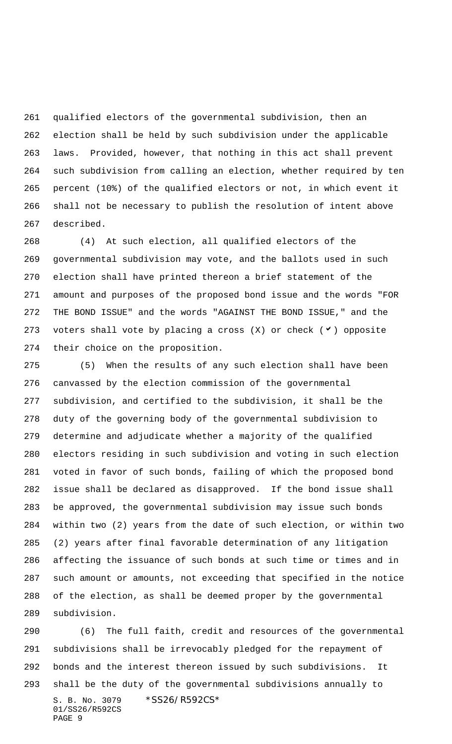qualified electors of the governmental subdivision, then an election shall be held by such subdivision under the applicable laws. Provided, however, that nothing in this act shall prevent such subdivision from calling an election, whether required by ten percent (10%) of the qualified electors or not, in which event it shall not be necessary to publish the resolution of intent above described.

 (4) At such election, all qualified electors of the governmental subdivision may vote, and the ballots used in such election shall have printed thereon a brief statement of the amount and purposes of the proposed bond issue and the words "FOR THE BOND ISSUE" and the words "AGAINST THE BOND ISSUE," and the 273 voters shall vote by placing a cross  $(X)$  or check  $(V)$  opposite their choice on the proposition.

 (5) When the results of any such election shall have been canvassed by the election commission of the governmental subdivision, and certified to the subdivision, it shall be the duty of the governing body of the governmental subdivision to determine and adjudicate whether a majority of the qualified electors residing in such subdivision and voting in such election voted in favor of such bonds, failing of which the proposed bond issue shall be declared as disapproved. If the bond issue shall be approved, the governmental subdivision may issue such bonds within two (2) years from the date of such election, or within two (2) years after final favorable determination of any litigation affecting the issuance of such bonds at such time or times and in such amount or amounts, not exceeding that specified in the notice of the election, as shall be deemed proper by the governmental subdivision.

S. B. No. 3079 \* SS26/R592CS\* 01/SS26/R592CS PAGE 9 (6) The full faith, credit and resources of the governmental subdivisions shall be irrevocably pledged for the repayment of bonds and the interest thereon issued by such subdivisions. It shall be the duty of the governmental subdivisions annually to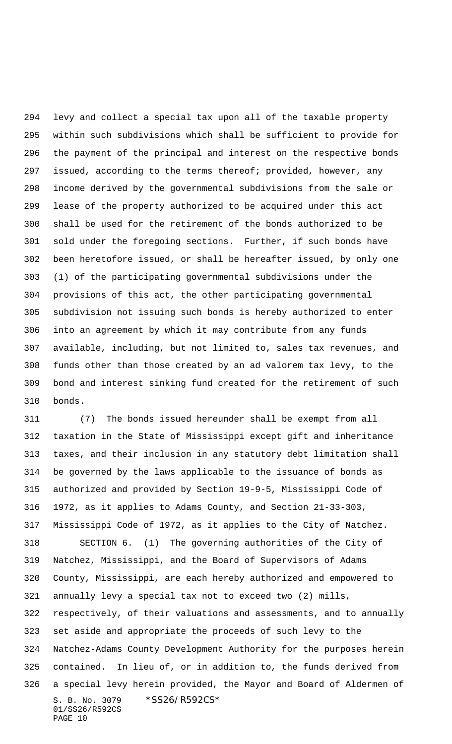levy and collect a special tax upon all of the taxable property within such subdivisions which shall be sufficient to provide for the payment of the principal and interest on the respective bonds issued, according to the terms thereof; provided, however, any income derived by the governmental subdivisions from the sale or lease of the property authorized to be acquired under this act shall be used for the retirement of the bonds authorized to be sold under the foregoing sections. Further, if such bonds have been heretofore issued, or shall be hereafter issued, by only one (1) of the participating governmental subdivisions under the provisions of this act, the other participating governmental subdivision not issuing such bonds is hereby authorized to enter into an agreement by which it may contribute from any funds available, including, but not limited to, sales tax revenues, and funds other than those created by an ad valorem tax levy, to the bond and interest sinking fund created for the retirement of such bonds.

S. B. No. 3079 \* SS26/R592CS\* 01/SS26/R592CS PAGE 10 (7) The bonds issued hereunder shall be exempt from all taxation in the State of Mississippi except gift and inheritance taxes, and their inclusion in any statutory debt limitation shall be governed by the laws applicable to the issuance of bonds as authorized and provided by Section 19-9-5, Mississippi Code of 1972, as it applies to Adams County, and Section 21-33-303, Mississippi Code of 1972, as it applies to the City of Natchez. SECTION 6. (1) The governing authorities of the City of Natchez, Mississippi, and the Board of Supervisors of Adams County, Mississippi, are each hereby authorized and empowered to annually levy a special tax not to exceed two (2) mills, respectively, of their valuations and assessments, and to annually set aside and appropriate the proceeds of such levy to the Natchez-Adams County Development Authority for the purposes herein contained. In lieu of, or in addition to, the funds derived from a special levy herein provided, the Mayor and Board of Aldermen of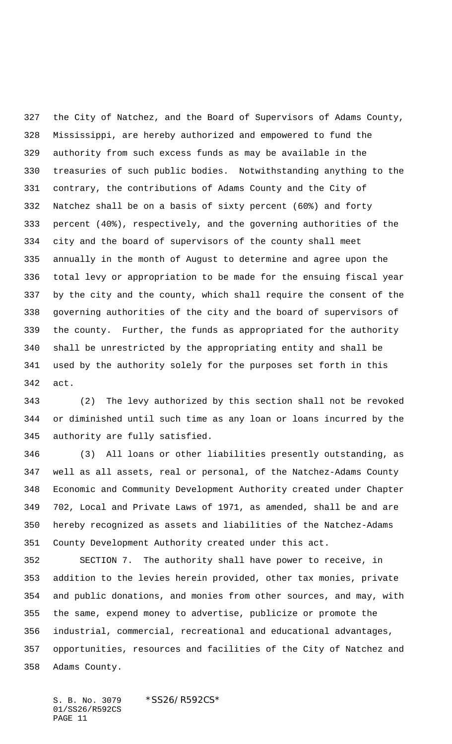the City of Natchez, and the Board of Supervisors of Adams County, Mississippi, are hereby authorized and empowered to fund the authority from such excess funds as may be available in the treasuries of such public bodies. Notwithstanding anything to the contrary, the contributions of Adams County and the City of Natchez shall be on a basis of sixty percent (60%) and forty percent (40%), respectively, and the governing authorities of the city and the board of supervisors of the county shall meet annually in the month of August to determine and agree upon the total levy or appropriation to be made for the ensuing fiscal year by the city and the county, which shall require the consent of the governing authorities of the city and the board of supervisors of the county. Further, the funds as appropriated for the authority shall be unrestricted by the appropriating entity and shall be used by the authority solely for the purposes set forth in this act.

 (2) The levy authorized by this section shall not be revoked or diminished until such time as any loan or loans incurred by the authority are fully satisfied.

 (3) All loans or other liabilities presently outstanding, as well as all assets, real or personal, of the Natchez-Adams County Economic and Community Development Authority created under Chapter 702, Local and Private Laws of 1971, as amended, shall be and are hereby recognized as assets and liabilities of the Natchez-Adams County Development Authority created under this act.

 SECTION 7. The authority shall have power to receive, in addition to the levies herein provided, other tax monies, private and public donations, and monies from other sources, and may, with the same, expend money to advertise, publicize or promote the industrial, commercial, recreational and educational advantages, opportunities, resources and facilities of the City of Natchez and Adams County.

S. B. No. 3079 \*SS26/R592CS\* 01/SS26/R592CS PAGE 11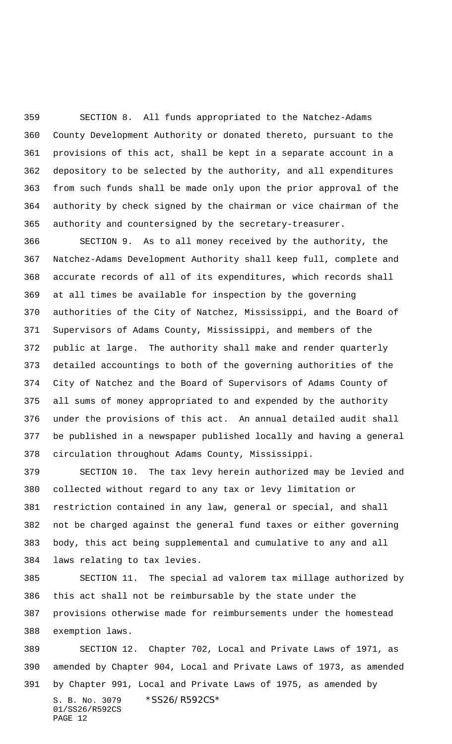SECTION 8. All funds appropriated to the Natchez-Adams County Development Authority or donated thereto, pursuant to the provisions of this act, shall be kept in a separate account in a depository to be selected by the authority, and all expenditures from such funds shall be made only upon the prior approval of the authority by check signed by the chairman or vice chairman of the authority and countersigned by the secretary-treasurer.

 SECTION 9. As to all money received by the authority, the Natchez-Adams Development Authority shall keep full, complete and accurate records of all of its expenditures, which records shall at all times be available for inspection by the governing authorities of the City of Natchez, Mississippi, and the Board of Supervisors of Adams County, Mississippi, and members of the public at large. The authority shall make and render quarterly detailed accountings to both of the governing authorities of the City of Natchez and the Board of Supervisors of Adams County of all sums of money appropriated to and expended by the authority under the provisions of this act. An annual detailed audit shall be published in a newspaper published locally and having a general circulation throughout Adams County, Mississippi.

 SECTION 10. The tax levy herein authorized may be levied and collected without regard to any tax or levy limitation or restriction contained in any law, general or special, and shall not be charged against the general fund taxes or either governing body, this act being supplemental and cumulative to any and all laws relating to tax levies.

 SECTION 11. The special ad valorem tax millage authorized by this act shall not be reimbursable by the state under the provisions otherwise made for reimbursements under the homestead exemption laws.

S. B. No. 3079 \* SS26/R592CS\* 01/SS26/R592CS PAGE 12 SECTION 12. Chapter 702, Local and Private Laws of 1971, as amended by Chapter 904, Local and Private Laws of 1973, as amended by Chapter 991, Local and Private Laws of 1975, as amended by